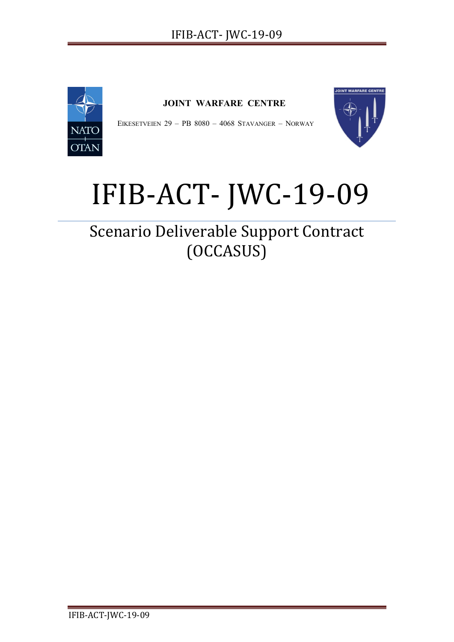

**JOINT WARFARE CENTRE**

EIKESETVEIEN 29 - PB 8080 - 4068 STAVANGER - NORWAY



# IFIB-ACT- JWC-19-09

Scenario Deliverable Support Contract (OCCASUS)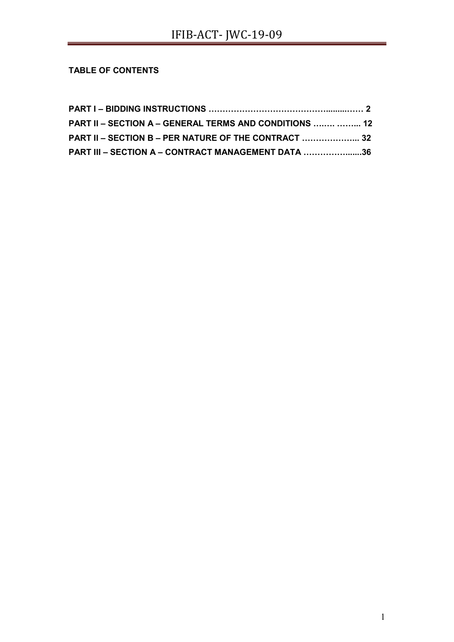# **TABLE OF CONTENTS**

| PART II – SECTION A – GENERAL TERMS AND CONDITIONS   12 |  |
|---------------------------------------------------------|--|
| PART II - SECTION B - PER NATURE OF THE CONTRACT  32    |  |
| PART III - SECTION A - CONTRACT MANAGEMENT DATA 36      |  |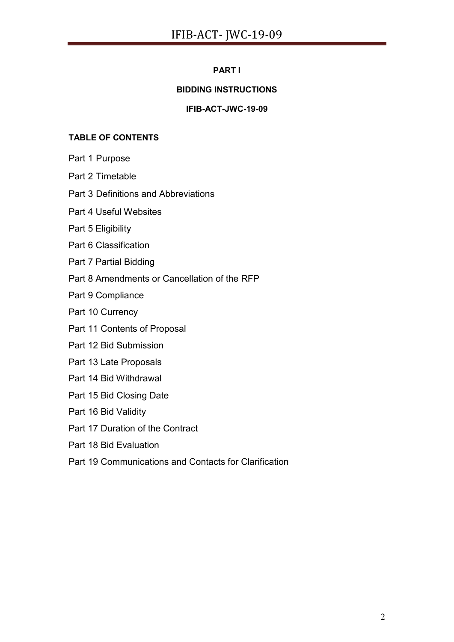# **PART I**

# **BIDDING INSTRUCTIONS**

## **IFIB-ACT-JWC-19-09**

## **TABLE OF CONTENTS**

Part 1 Purpose

Part 2 Timetable

Part 3 Definitions and Abbreviations

Part 4 Useful Websites

Part 5 Eligibility

Part 6 Classification

Part 7 Partial Bidding

Part 8 Amendments or Cancellation of the RFP

Part 9 Compliance

Part 10 Currency

Part 11 Contents of Proposal

Part 12 Bid Submission

Part 13 Late Proposals

Part 14 Bid Withdrawal

Part 15 Bid Closing Date

Part 16 Bid Validity

Part 17 Duration of the Contract

Part 18 Bid Evaluation

Part 19 Communications and Contacts for Clarification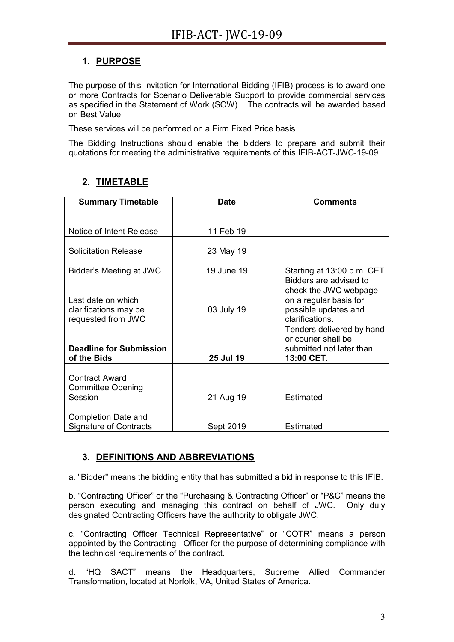# **1. PURPOSE**

The purpose of this Invitation for International Bidding (IFIB) process is to award one or more Contracts for Scenario Deliverable Support to provide commercial services as specified in the Statement of Work (SOW). The contracts will be awarded based on Best Value.

These services will be performed on a Firm Fixed Price basis.

The Bidding Instructions should enable the bidders to prepare and submit their quotations for meeting the administrative requirements of this IFIB-ACT-JWC-19-09.

# **2. TIMETABLE**

| <b>Summary Timetable</b>                      | <b>Date</b> | <b>Comments</b>                                 |
|-----------------------------------------------|-------------|-------------------------------------------------|
|                                               |             |                                                 |
| Notice of Intent Release                      | 11 Feb 19   |                                                 |
| <b>Solicitation Release</b>                   | 23 May 19   |                                                 |
| Bidder's Meeting at JWC                       | 19 June 19  | Starting at 13:00 p.m. CET                      |
|                                               |             | Bidders are advised to<br>check the JWC webpage |
| Last date on which                            |             | on a regular basis for                          |
| clarifications may be                         | 03 July 19  | possible updates and                            |
| requested from JWC                            |             | clarifications.                                 |
|                                               |             | Tenders delivered by hand                       |
|                                               |             | or courier shall be                             |
| <b>Deadline for Submission</b><br>of the Bids | 25 Jul 19   | submitted not later than<br>13:00 CET.          |
|                                               |             |                                                 |
| <b>Contract Award</b>                         |             |                                                 |
| <b>Committee Opening</b>                      |             |                                                 |
| Session                                       | 21 Aug 19   | Estimated                                       |
|                                               |             |                                                 |
| Completion Date and                           |             |                                                 |
| <b>Signature of Contracts</b>                 | Sept 2019   | Estimated                                       |

# **3. DEFINITIONS AND ABBREVIATIONS**

a. "Bidder" means the bidding entity that has submitted a bid in response to this IFIB.

b. "Contracting Officer" or the "Purchasing & Contracting Officer" or "P&C" means the person executing and managing this contract on behalf of JWC. Only duly designated Contracting Officers have the authority to obligate JWC.

c. "Contracting Officer Technical Representative" or "COTR" means a person appointed by the Contracting Officer for the purpose of determining compliance with the technical requirements of the contract.

d. "HQ SACT" means the Headquarters, Supreme Allied Commander Transformation, located at Norfolk, VA, United States of America.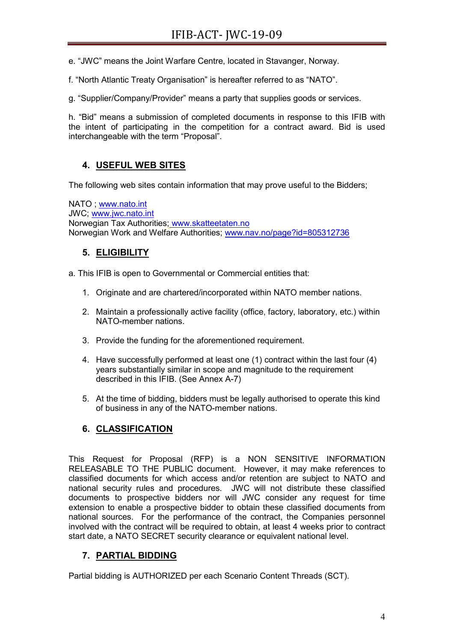e. "JWC" means the Joint Warfare Centre, located in Stavanger, Norway.

f. "North Atlantic Treaty Organisation" is hereafter referred to as "NATO".

g. "Supplier/Company/Provider" means a party that supplies goods or services.

h. "Bid" means a submission of completed documents in response to this IFIB with the intent of participating in the competition for a contract award. Bid is used interchangeable with the term "Proposal".

# **4. USEFUL WEB SITES**

The following web sites contain information that may prove useful to the Bidders;

NATO ; [www.nato.int](http://www.nato.int/) JWC; [www.jwc.nato.int](http://www.jwc.nato.int/) Norwegian Tax Authorities; [www.skatteetaten.no](http://www.skatteetaten.no/) Norwegian Work and Welfare Authorities; [www.nav.no/page?id=805312736](http://www.nav.no/page?id=805312736)

# **5. ELIGIBILITY**

a. This IFIB is open to Governmental or Commercial entities that:

- 1. Originate and are chartered/incorporated within NATO member nations.
- 2. Maintain a professionally active facility (office, factory, laboratory, etc.) within NATO-member nations.
- 3. Provide the funding for the aforementioned requirement.
- 4. Have successfully performed at least one (1) contract within the last four (4) years substantially similar in scope and magnitude to the requirement described in this IFIB. (See Annex A-7)
- 5. At the time of bidding, bidders must be legally authorised to operate this kind of business in any of the NATO-member nations.

# **6. CLASSIFICATION**

This Request for Proposal (RFP) is a NON SENSITIVE INFORMATION RELEASABLE TO THE PUBLIC document. However, it may make references to classified documents for which access and/or retention are subject to NATO and national security rules and procedures. JWC will not distribute these classified documents to prospective bidders nor will JWC consider any request for time extension to enable a prospective bidder to obtain these classified documents from national sources. For the performance of the contract, the Companies personnel involved with the contract will be required to obtain, at least 4 weeks prior to contract start date, a NATO SECRET security clearance or equivalent national level.

# **7. PARTIAL BIDDING**

Partial bidding is AUTHORIZED per each Scenario Content Threads (SCT).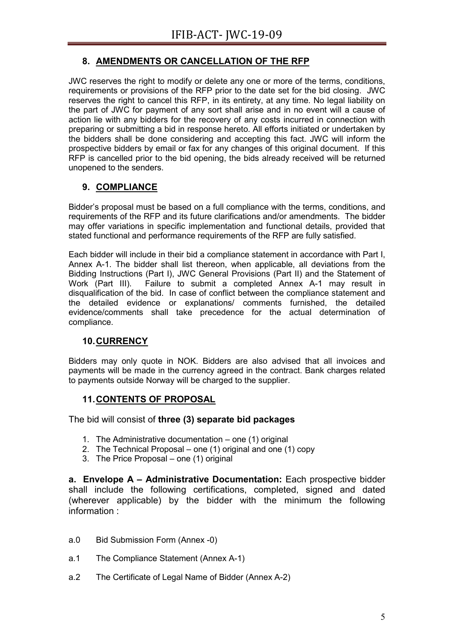# **8. AMENDMENTS OR CANCELLATION OF THE RFP**

JWC reserves the right to modify or delete any one or more of the terms, conditions, requirements or provisions of the RFP prior to the date set for the bid closing. JWC reserves the right to cancel this RFP, in its entirety, at any time. No legal liability on the part of JWC for payment of any sort shall arise and in no event will a cause of action lie with any bidders for the recovery of any costs incurred in connection with preparing or submitting a bid in response hereto. All efforts initiated or undertaken by the bidders shall be done considering and accepting this fact. JWC will inform the prospective bidders by email or fax for any changes of this original document. If this RFP is cancelled prior to the bid opening, the bids already received will be returned unopened to the senders.

# **9. COMPLIANCE**

Bidder's proposal must be based on a full compliance with the terms, conditions, and requirements of the RFP and its future clarifications and/or amendments. The bidder may offer variations in specific implementation and functional details, provided that stated functional and performance requirements of the RFP are fully satisfied.

Each bidder will include in their bid a compliance statement in accordance with Part I, Annex A-1. The bidder shall list thereon, when applicable, all deviations from the Bidding Instructions (Part I), JWC General Provisions (Part II) and the Statement of Work (Part III). Failure to submit a completed Annex A-1 may result in disqualification of the bid. In case of conflict between the compliance statement and the detailed evidence or explanations/ comments furnished, the detailed evidence/comments shall take precedence for the actual determination of compliance.

# **10.CURRENCY**

Bidders may only quote in NOK. Bidders are also advised that all invoices and payments will be made in the currency agreed in the contract. Bank charges related to payments outside Norway will be charged to the supplier.

# **11.CONTENTS OF PROPOSAL**

The bid will consist of **three (3) separate bid packages**

- 1. The Administrative documentation one (1) original
- 2. The Technical Proposal one (1) original and one (1) copy
- 3. The Price Proposal one (1) original

**a. Envelope A – Administrative Documentation:** Each prospective bidder shall include the following certifications, completed, signed and dated (wherever applicable) by the bidder with the minimum the following information :

- a.0 Bid Submission Form (Annex -0)
- a.1 The Compliance Statement (Annex A-1)
- a.2 The Certificate of Legal Name of Bidder (Annex A-2)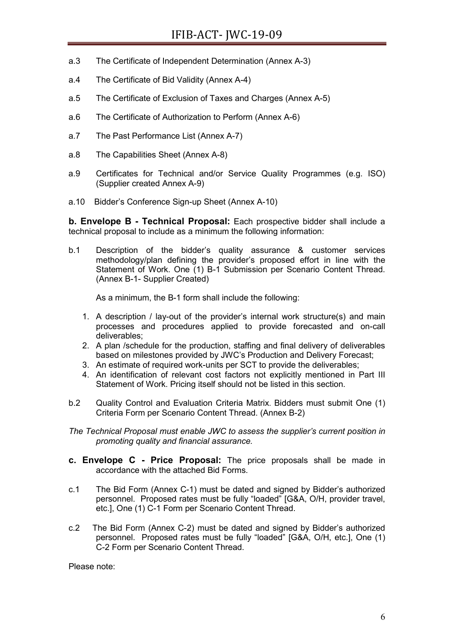- a.3 The Certificate of Independent Determination (Annex A-3)
- a.4 The Certificate of Bid Validity (Annex A-4)
- a.5 The Certificate of Exclusion of Taxes and Charges (Annex A-5)
- a.6 The Certificate of Authorization to Perform (Annex A-6)
- a.7 The Past Performance List (Annex A-7)
- a.8 The Capabilities Sheet (Annex A-8)
- a.9 Certificates for Technical and/or Service Quality Programmes (e.g. ISO) (Supplier created Annex A-9)
- a.10 Bidder's Conference Sign-up Sheet (Annex A-10)

**b. Envelope B - Technical Proposal:** Each prospective bidder shall include a technical proposal to include as a minimum the following information:

b.1 Description of the bidder's quality assurance & customer services methodology/plan defining the provider's proposed effort in line with the Statement of Work. One (1) B-1 Submission per Scenario Content Thread. (Annex B-1- Supplier Created)

As a minimum, the B-1 form shall include the following:

- 1. A description / lay-out of the provider's internal work structure(s) and main processes and procedures applied to provide forecasted and on-call deliverables;
- 2. A plan /schedule for the production, staffing and final delivery of deliverables based on milestones provided by JWC's Production and Delivery Forecast;
- 3. An estimate of required work-units per SCT to provide the deliverables;
- 4. An identification of relevant cost factors not explicitly mentioned in Part III Statement of Work. Pricing itself should not be listed in this section.
- b.2 Quality Control and Evaluation Criteria Matrix. Bidders must submit One (1) Criteria Form per Scenario Content Thread. (Annex B-2)
- *The Technical Proposal must enable JWC to assess the supplier's current position in promoting quality and financial assurance.*
- **c. Envelope C - Price Proposal:** The price proposals shall be made in accordance with the attached Bid Forms.
- c.1 The Bid Form (Annex C-1) must be dated and signed by Bidder's authorized personnel. Proposed rates must be fully "loaded" [G&A, O/H, provider travel, etc.], One (1) C-1 Form per Scenario Content Thread.
- c.2 The Bid Form (Annex C-2) must be dated and signed by Bidder's authorized personnel. Proposed rates must be fully "loaded" [G&A, O/H, etc.], One (1) C-2 Form per Scenario Content Thread.

Please note: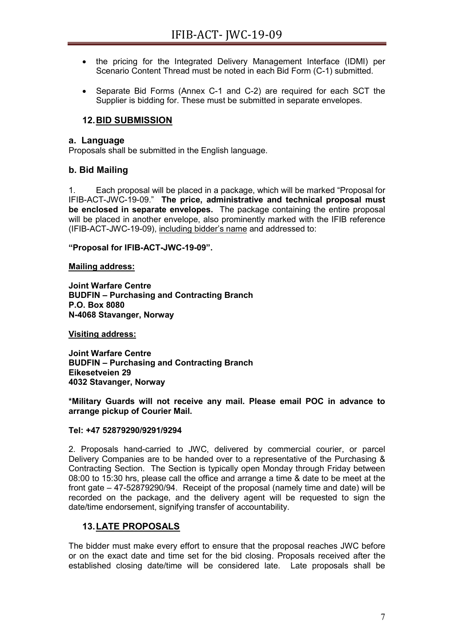- the pricing for the Integrated Delivery Management Interface (IDMI) per Scenario Content Thread must be noted in each Bid Form (C-1) submitted.
- Separate Bid Forms (Annex C-1 and C-2) are required for each SCT the Supplier is bidding for. These must be submitted in separate envelopes.

## **12.BID SUBMISSION**

#### **a. Language**

Proposals shall be submitted in the English language.

## **b. Bid Mailing**

1. Each proposal will be placed in a package, which will be marked "Proposal for IFIB-ACT-JWC-19-09." **The price, administrative and technical proposal must be enclosed in separate envelopes.** The package containing the entire proposal will be placed in another envelope, also prominently marked with the IFIB reference (IFIB-ACT-JWC-19-09), including bidder's name and addressed to:

**"Proposal for IFIB-ACT-JWC-19-09".**

**Mailing address:**

**Joint Warfare Centre BUDFIN – Purchasing and Contracting Branch P.O. Box 8080 N-4068 Stavanger, Norway**

**Visiting address:**

**Joint Warfare Centre BUDFIN – Purchasing and Contracting Branch Eikesetveien 29 4032 Stavanger, Norway**

**\*Military Guards will not receive any mail. Please email POC in advance to arrange pickup of Courier Mail.**

#### **Tel: +47 52879290/9291/9294**

2. Proposals hand-carried to JWC, delivered by commercial courier, or parcel Delivery Companies are to be handed over to a representative of the Purchasing & Contracting Section. The Section is typically open Monday through Friday between 08:00 to 15:30 hrs, please call the office and arrange a time & date to be meet at the front gate – 47-52879290/94. Receipt of the proposal (namely time and date) will be recorded on the package, and the delivery agent will be requested to sign the date/time endorsement, signifying transfer of accountability.

# **13.LATE PROPOSALS**

The bidder must make every effort to ensure that the proposal reaches JWC before or on the exact date and time set for the bid closing. Proposals received after the established closing date/time will be considered late. Late proposals shall be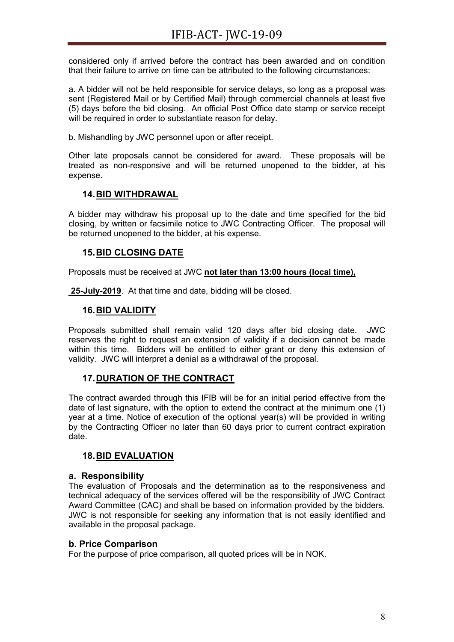considered only if arrived before the contract has been awarded and on condition that their failure to arrive on time can be attributed to the following circumstances:

a. A bidder will not be held responsible for service delays, so long as a proposal was sent (Registered Mail or by Certified Mail) through commercial channels at least five (5) days before the bid closing. An official Post Office date stamp or service receipt will be required in order to substantiate reason for delay.

b. Mishandling by JWC personnel upon or after receipt.

Other late proposals cannot be considered for award. These proposals will be treated as non-responsive and will be returned unopened to the bidder, at his expense.

## **14.BID WITHDRAWAL**

A bidder may withdraw his proposal up to the date and time specified for the bid closing, by written or facsimile notice to JWC Contracting Officer. The proposal will be returned unopened to the bidder, at his expense.

## **15.BID CLOSING DATE**

Proposals must be received at JWC **not later than 13:00 hours (local time),**

**25-July-2019**. At that time and date, bidding will be closed.

## **16.BID VALIDITY**

Proposals submitted shall remain valid 120 days after bid closing date. JWC reserves the right to request an extension of validity if a decision cannot be made within this time. Bidders will be entitled to either grant or deny this extension of validity. JWC will interpret a denial as a withdrawal of the proposal.

## **17.DURATION OF THE CONTRACT**

The contract awarded through this IFIB will be for an initial period effective from the date of last signature, with the option to extend the contract at the minimum one (1) year at a time. Notice of execution of the optional year(s) will be provided in writing by the Contracting Officer no later than 60 days prior to current contract expiration date.

#### **18.BID EVALUATION**

#### **a. Responsibility**

The evaluation of Proposals and the determination as to the responsiveness and technical adequacy of the services offered will be the responsibility of JWC Contract Award Committee (CAC) and shall be based on information provided by the bidders. JWC is not responsible for seeking any information that is not easily identified and available in the proposal package.

#### **b. Price Comparison**

For the purpose of price comparison, all quoted prices will be in NOK.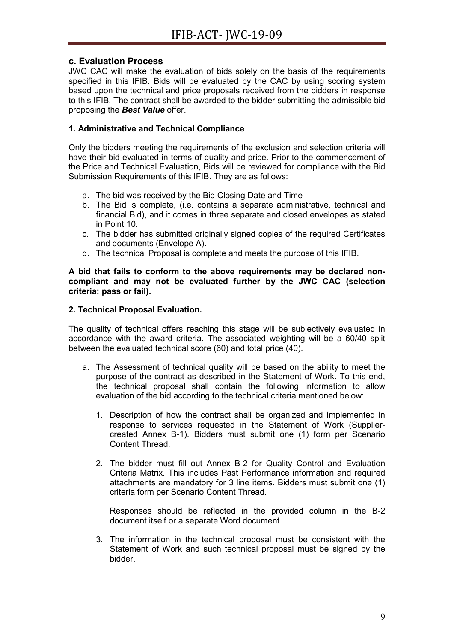## **c. Evaluation Process**

JWC CAC will make the evaluation of bids solely on the basis of the requirements specified in this IFIB. Bids will be evaluated by the CAC by using scoring system based upon the technical and price proposals received from the bidders in response to this IFIB. The contract shall be awarded to the bidder submitting the admissible bid proposing the *Best Value* offer.

## **1. Administrative and Technical Compliance**

Only the bidders meeting the requirements of the exclusion and selection criteria will have their bid evaluated in terms of quality and price. Prior to the commencement of the Price and Technical Evaluation, Bids will be reviewed for compliance with the Bid Submission Requirements of this IFIB. They are as follows:

- a. The bid was received by the Bid Closing Date and Time
- b. The Bid is complete, (i.e. contains a separate administrative, technical and financial Bid), and it comes in three separate and closed envelopes as stated in Point 10.
- c. The bidder has submitted originally signed copies of the required Certificates and documents (Envelope A).
- d. The technical Proposal is complete and meets the purpose of this IFIB.

**A bid that fails to conform to the above requirements may be declared noncompliant and may not be evaluated further by the JWC CAC (selection criteria: pass or fail).**

## **2. Technical Proposal Evaluation.**

The quality of technical offers reaching this stage will be subjectively evaluated in accordance with the award criteria. The associated weighting will be a 60/40 split between the evaluated technical score (60) and total price (40).

- a. The Assessment of technical quality will be based on the ability to meet the purpose of the contract as described in the Statement of Work. To this end, the technical proposal shall contain the following information to allow evaluation of the bid according to the technical criteria mentioned below:
	- 1. Description of how the contract shall be organized and implemented in response to services requested in the Statement of Work (Suppliercreated Annex B-1). Bidders must submit one (1) form per Scenario Content Thread.
	- 2. The bidder must fill out Annex B-2 for Quality Control and Evaluation Criteria Matrix. This includes Past Performance information and required attachments are mandatory for 3 line items. Bidders must submit one (1) criteria form per Scenario Content Thread.

Responses should be reflected in the provided column in the B-2 document itself or a separate Word document.

3. The information in the technical proposal must be consistent with the Statement of Work and such technical proposal must be signed by the bidder.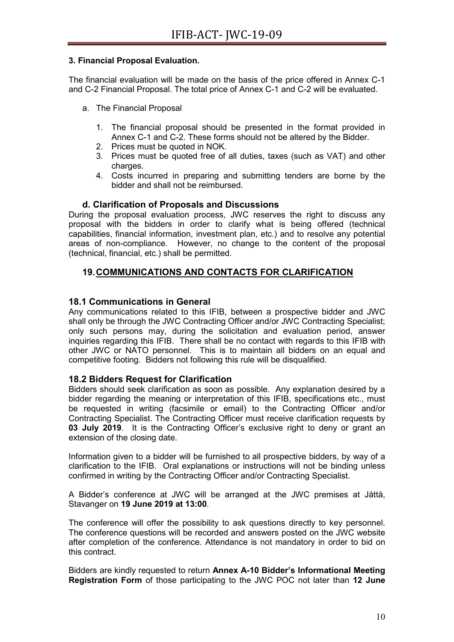#### **3. Financial Proposal Evaluation.**

The financial evaluation will be made on the basis of the price offered in Annex C-1 and C-2 Financial Proposal. The total price of Annex C-1 and C-2 will be evaluated.

- a. The Financial Proposal
	- 1. The financial proposal should be presented in the format provided in Annex C-1 and C-2. These forms should not be altered by the Bidder.
	- 2. Prices must be quoted in NOK.
	- 3. Prices must be quoted free of all duties, taxes (such as VAT) and other charges.
	- 4. Costs incurred in preparing and submitting tenders are borne by the bidder and shall not be reimbursed.

#### **d. Clarification of Proposals and Discussions**

During the proposal evaluation process, JWC reserves the right to discuss any proposal with the bidders in order to clarify what is being offered (technical capabilities, financial information, investment plan, etc.) and to resolve any potential areas of non-compliance. However, no change to the content of the proposal (technical, financial, etc.) shall be permitted.

## **19.COMMUNICATIONS AND CONTACTS FOR CLARIFICATION**

#### **18.1 Communications in General**

Any communications related to this IFIB, between a prospective bidder and JWC shall only be through the JWC Contracting Officer and/or JWC Contracting Specialist; only such persons may, during the solicitation and evaluation period, answer inquiries regarding this IFIB. There shall be no contact with regards to this IFIB with other JWC or NATO personnel. This is to maintain all bidders on an equal and competitive footing. Bidders not following this rule will be disqualified.

#### **18.2 Bidders Request for Clarification**

Bidders should seek clarification as soon as possible. Any explanation desired by a bidder regarding the meaning or interpretation of this IFIB, specifications etc., must be requested in writing (facsimile or email) to the Contracting Officer and/or Contracting Specialist. The Contracting Officer must receive clarification requests by **03 July 2019**. It is the Contracting Officer's exclusive right to deny or grant an extension of the closing date.

Information given to a bidder will be furnished to all prospective bidders, by way of a clarification to the IFIB. Oral explanations or instructions will not be binding unless confirmed in writing by the Contracting Officer and/or Contracting Specialist.

A Bidder's conference at JWC will be arranged at the JWC premises at Jåttå, Stavanger on **19 June 2019 at 13:00**.

The conference will offer the possibility to ask questions directly to key personnel. The conference questions will be recorded and answers posted on the JWC website after completion of the conference. Attendance is not mandatory in order to bid on this contract.

Bidders are kindly requested to return **Annex A-10 Bidder's Informational Meeting Registration Form** of those participating to the JWC POC not later than **12 June**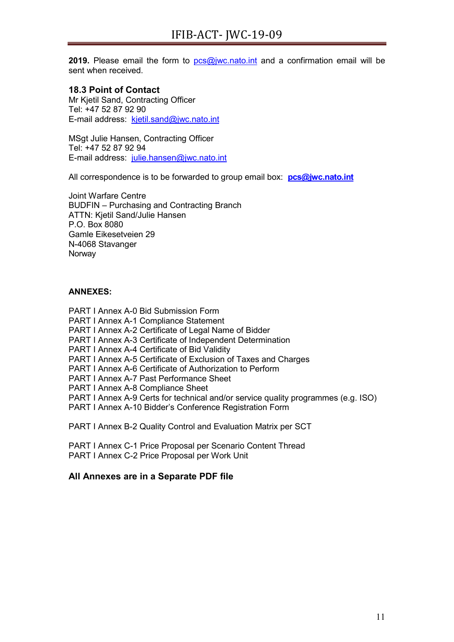**2019.** Please email the form to [pcs@jwc.nato.int](mailto:pcs@jwc.nato.int) and a confirmation email will be sent when received.

## **18.3 Point of Contact**

Mr Kjetil Sand, Contracting Officer Tel: +47 52 87 92 90 E-mail address: [kjetil.sand@jwc.nato.int](mailto:kjetil.sand@jwc.nato.int)

MSgt Julie Hansen, Contracting Officer Tel: +47 52 87 92 94 E-mail address: [julie.hansen@jwc.nato.int](mailto:julie.hansen@jwc.nato.int)

All correspondence is to be forwarded to group email box: **[pcs@jwc.nato.int](mailto:pcs@jwc.nato.int)**

Joint Warfare Centre BUDFIN – Purchasing and Contracting Branch ATTN: Kjetil Sand/Julie Hansen P.O. Box 8080 Gamle Eikesetveien 29 N-4068 Stavanger Norway

#### **ANNEXES:**

PART I Annex A-0 Bid Submission Form

PART I Annex A-1 Compliance Statement

PART I Annex A-2 Certificate of Legal Name of Bidder

PART I Annex A-3 Certificate of Independent Determination

PART I Annex A-4 Certificate of Bid Validity

PART I Annex A-5 Certificate of Exclusion of Taxes and Charges

PART I Annex A-6 Certificate of Authorization to Perform

PART I Annex A-7 Past Performance Sheet

PART I Annex A-8 Compliance Sheet

PART I Annex A-9 Certs for technical and/or service quality programmes (e.g. ISO)

PART I Annex A-10 Bidder's Conference Registration Form

PART I Annex B-2 Quality Control and Evaluation Matrix per SCT

PART I Annex C-1 Price Proposal per Scenario Content Thread PART I Annex C-2 Price Proposal per Work Unit

## **All Annexes are in a Separate PDF file**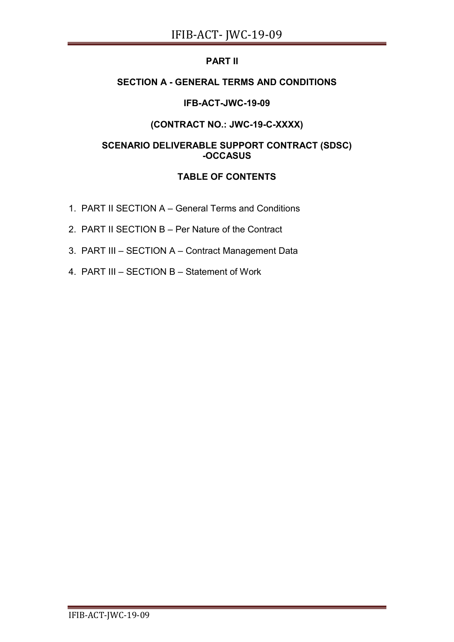# **PART II**

# **SECTION A - GENERAL TERMS AND CONDITIONS**

# **IFB-ACT-JWC-19-09**

# **(CONTRACT NO.: JWC-19-C-XXXX)**

# **SCENARIO DELIVERABLE SUPPORT CONTRACT (SDSC) -OCCASUS**

# **TABLE OF CONTENTS**

- 1. PART II SECTION A General Terms and Conditions
- 2. PART II SECTION B Per Nature of the Contract
- 3. PART III SECTION A Contract Management Data
- 4. PART III SECTION B Statement of Work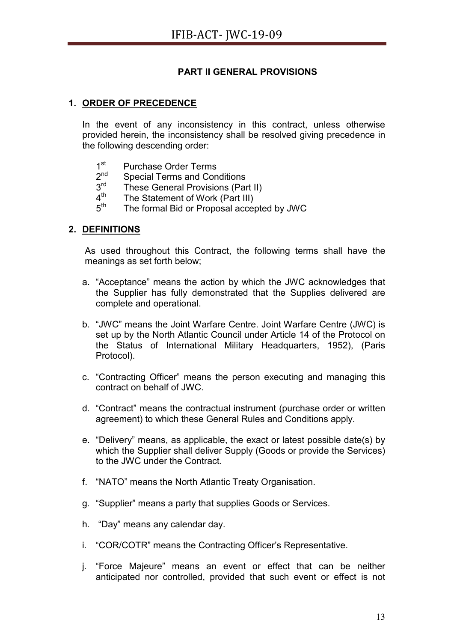# **PART II GENERAL PROVISIONS**

# **1. ORDER OF PRECEDENCE**

In the event of any inconsistency in this contract, unless otherwise provided herein, the inconsistency shall be resolved giving precedence in the following descending order:

- $1<sup>st</sup>$  Purchase Order Terms<br> $2<sup>nd</sup>$  Special Terms and Con
- 
- $2<sup>nd</sup>$  Special Terms and Conditions<br> $3<sup>rd</sup>$  These General Provisions (Bo)  $3^{\text{rd}}$  These General Provisions (Part II)<br> $4^{\text{th}}$  The Statement of Work (Part III)
- $4<sup>th</sup>$  The Statement of Work (Part III)<br> $5<sup>th</sup>$  The formal Bid or Proposal accer
- The formal Bid or Proposal accepted by JWC

## **2. DEFINITIONS**

As used throughout this Contract, the following terms shall have the meanings as set forth below;

- a. "Acceptance" means the action by which the JWC acknowledges that the Supplier has fully demonstrated that the Supplies delivered are complete and operational.
- b. "JWC" means the Joint Warfare Centre. Joint Warfare Centre (JWC) is set up by the North Atlantic Council under Article 14 of the Protocol on the Status of International Military Headquarters, 1952), (Paris Protocol).
- c. "Contracting Officer" means the person executing and managing this contract on behalf of JWC.
- d. "Contract" means the contractual instrument (purchase order or written agreement) to which these General Rules and Conditions apply.
- e. "Delivery" means, as applicable, the exact or latest possible date(s) by which the Supplier shall deliver Supply (Goods or provide the Services) to the JWC under the Contract.
- f. "NATO" means the North Atlantic Treaty Organisation.
- g. "Supplier" means a party that supplies Goods or Services.
- h. "Day" means any calendar day.
- i. "COR/COTR" means the Contracting Officer's Representative.
- j. "Force Majeure" means an event or effect that can be neither anticipated nor controlled, provided that such event or effect is not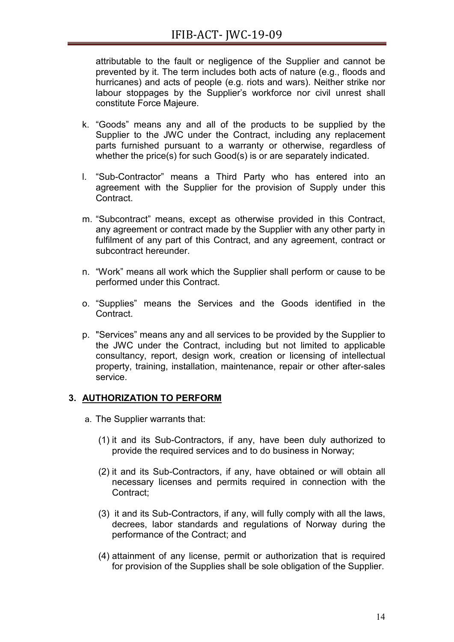attributable to the fault or negligence of the Supplier and cannot be prevented by it. The term includes both acts of nature (e.g., floods and hurricanes) and acts of people (e.g. riots and wars). Neither strike nor labour stoppages by the Supplier's workforce nor civil unrest shall constitute Force Majeure.

- k. "Goods" means any and all of the products to be supplied by the Supplier to the JWC under the Contract, including any replacement parts furnished pursuant to a warranty or otherwise, regardless of whether the price(s) for such Good(s) is or are separately indicated.
- l. "Sub-Contractor" means a Third Party who has entered into an agreement with the Supplier for the provision of Supply under this **Contract**
- m. "Subcontract" means, except as otherwise provided in this Contract, any agreement or contract made by the Supplier with any other party in fulfilment of any part of this Contract, and any agreement, contract or subcontract hereunder.
- n. "Work" means all work which the Supplier shall perform or cause to be performed under this Contract.
- o. "Supplies" means the Services and the Goods identified in the Contract.
- p. "Services" means any and all services to be provided by the Supplier to the JWC under the Contract, including but not limited to applicable consultancy, report, design work, creation or licensing of intellectual property, training, installation, maintenance, repair or other after-sales service.

# **3. AUTHORIZATION TO PERFORM**

- a. The Supplier warrants that:
	- (1) it and its Sub-Contractors, if any, have been duly authorized to provide the required services and to do business in Norway;
	- (2) it and its Sub-Contractors, if any, have obtained or will obtain all necessary licenses and permits required in connection with the Contract;
	- (3) it and its Sub-Contractors, if any, will fully comply with all the laws, decrees, labor standards and regulations of Norway during the performance of the Contract; and
	- (4) attainment of any license, permit or authorization that is required for provision of the Supplies shall be sole obligation of the Supplier.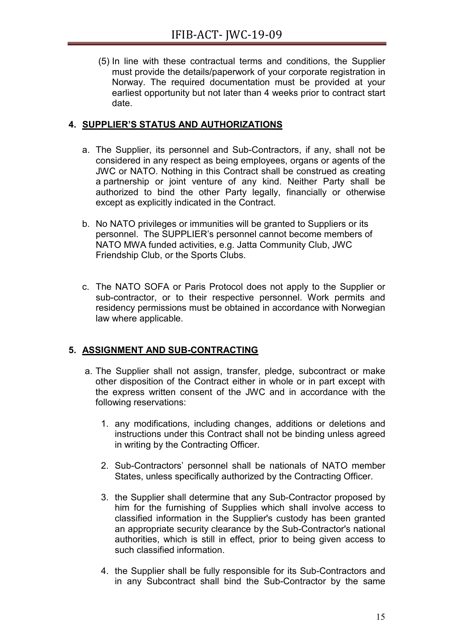(5) In line with these contractual terms and conditions, the Supplier must provide the details/paperwork of your corporate registration in Norway. The required documentation must be provided at your earliest opportunity but not later than 4 weeks prior to contract start date.

# **4. SUPPLIER'S STATUS AND AUTHORIZATIONS**

- a. The Supplier, its personnel and Sub-Contractors, if any, shall not be considered in any respect as being employees, organs or agents of the JWC or NATO. Nothing in this Contract shall be construed as creating a partnership or joint venture of any kind. Neither Party shall be authorized to bind the other Party legally, financially or otherwise except as explicitly indicated in the Contract.
- b. No NATO privileges or immunities will be granted to Suppliers or its personnel. The SUPPLIER's personnel cannot become members of NATO MWA funded activities, e.g. Jatta Community Club, JWC Friendship Club, or the Sports Clubs.
- c. The NATO SOFA or Paris Protocol does not apply to the Supplier or sub-contractor, or to their respective personnel. Work permits and residency permissions must be obtained in accordance with Norwegian law where applicable.

# **5. ASSIGNMENT AND SUB-CONTRACTING**

- a. The Supplier shall not assign, transfer, pledge, subcontract or make other disposition of the Contract either in whole or in part except with the express written consent of the JWC and in accordance with the following reservations:
	- 1. any modifications, including changes, additions or deletions and instructions under this Contract shall not be binding unless agreed in writing by the Contracting Officer.
	- 2. Sub-Contractors' personnel shall be nationals of NATO member States, unless specifically authorized by the Contracting Officer.
	- 3. the Supplier shall determine that any Sub-Contractor proposed by him for the furnishing of Supplies which shall involve access to classified information in the Supplier's custody has been granted an appropriate security clearance by the Sub-Contractor's national authorities, which is still in effect, prior to being given access to such classified information.
	- 4. the Supplier shall be fully responsible for its Sub-Contractors and in any Subcontract shall bind the Sub-Contractor by the same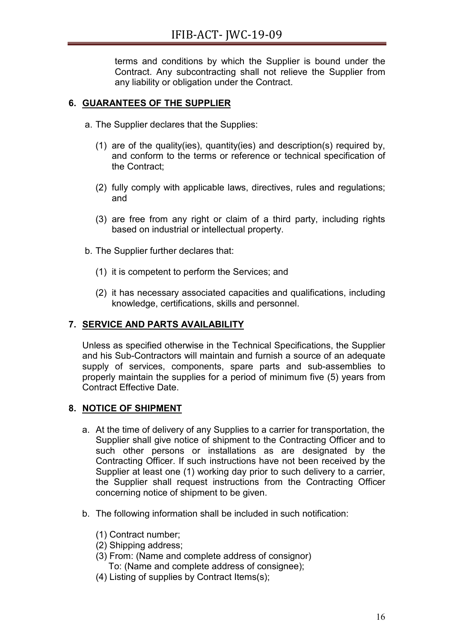terms and conditions by which the Supplier is bound under the Contract. Any subcontracting shall not relieve the Supplier from any liability or obligation under the Contract.

# **6. GUARANTEES OF THE SUPPLIER**

- a. The Supplier declares that the Supplies:
	- (1) are of the quality(ies), quantity(ies) and description(s) required by, and conform to the terms or reference or technical specification of the Contract;
	- (2) fully comply with applicable laws, directives, rules and regulations; and
	- (3) are free from any right or claim of a third party, including rights based on industrial or intellectual property.
- b. The Supplier further declares that:
	- (1) it is competent to perform the Services; and
	- (2) it has necessary associated capacities and qualifications, including knowledge, certifications, skills and personnel.

# **7. SERVICE AND PARTS AVAILABILITY**

Unless as specified otherwise in the Technical Specifications, the Supplier and his Sub-Contractors will maintain and furnish a source of an adequate supply of services, components, spare parts and sub-assemblies to properly maintain the supplies for a period of minimum five (5) years from Contract Effective Date.

# **8. NOTICE OF SHIPMENT**

- a. At the time of delivery of any Supplies to a carrier for transportation, the Supplier shall give notice of shipment to the Contracting Officer and to such other persons or installations as are designated by the Contracting Officer. If such instructions have not been received by the Supplier at least one (1) working day prior to such delivery to a carrier, the Supplier shall request instructions from the Contracting Officer concerning notice of shipment to be given.
- b. The following information shall be included in such notification:
	- (1) Contract number;
	- (2) Shipping address;
	- (3) From: (Name and complete address of consignor) To: (Name and complete address of consignee);
	- (4) Listing of supplies by Contract Items(s);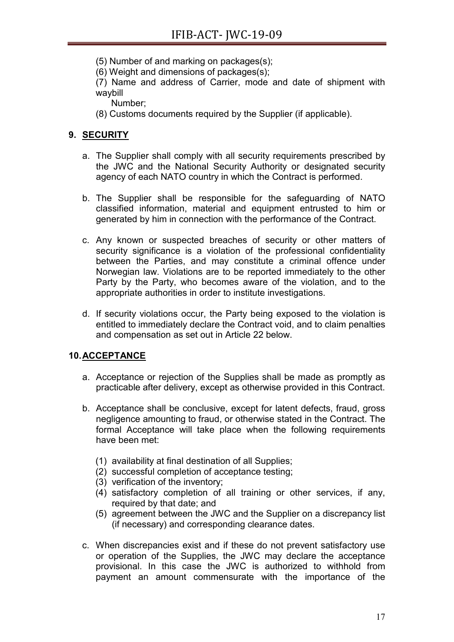(5) Number of and marking on packages(s);

(6) Weight and dimensions of packages(s);

(7) Name and address of Carrier, mode and date of shipment with waybill

Number;

(8) Customs documents required by the Supplier (if applicable).

# **9. SECURITY**

- a. The Supplier shall comply with all security requirements prescribed by the JWC and the National Security Authority or designated security agency of each NATO country in which the Contract is performed.
- b. The Supplier shall be responsible for the safeguarding of NATO classified information, material and equipment entrusted to him or generated by him in connection with the performance of the Contract.
- c. Any known or suspected breaches of security or other matters of security significance is a violation of the professional confidentiality between the Parties, and may constitute a criminal offence under Norwegian law. Violations are to be reported immediately to the other Party by the Party, who becomes aware of the violation, and to the appropriate authorities in order to institute investigations.
- d. If security violations occur, the Party being exposed to the violation is entitled to immediately declare the Contract void, and to claim penalties and compensation as set out in Article 22 below.

# **10.ACCEPTANCE**

- a. Acceptance or rejection of the Supplies shall be made as promptly as practicable after delivery, except as otherwise provided in this Contract.
- b. Acceptance shall be conclusive, except for latent defects, fraud, gross negligence amounting to fraud, or otherwise stated in the Contract. The formal Acceptance will take place when the following requirements have been met:
	- (1) availability at final destination of all Supplies;
	- (2) successful completion of acceptance testing;
	- (3) verification of the inventory;
	- $(4)$  satisfactory completion of all training or other services, if any, required by that date; and
	- (5) agreement between the JWC and the Supplier on a discrepancy list (if necessary) and corresponding clearance dates.
- c. When discrepancies exist and if these do not prevent satisfactory use or operation of the Supplies, the JWC may declare the acceptance provisional. In this case the JWC is authorized to withhold from payment an amount commensurate with the importance of the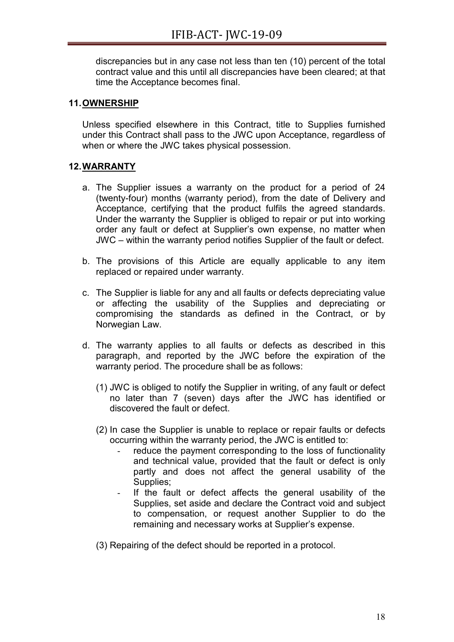discrepancies but in any case not less than ten (10) percent of the total contract value and this until all discrepancies have been cleared; at that time the Acceptance becomes final.

## **11.OWNERSHIP**

Unless specified elsewhere in this Contract, title to Supplies furnished under this Contract shall pass to the JWC upon Acceptance, regardless of when or where the JWC takes physical possession.

## **12.WARRANTY**

- a. The Supplier issues a warranty on the product for a period of 24 (twenty-four) months (warranty period), from the date of Delivery and Acceptance, certifying that the product fulfils the agreed standards. Under the warranty the Supplier is obliged to repair or put into working order any fault or defect at Supplier's own expense, no matter when JWC – within the warranty period notifies Supplier of the fault or defect.
- b. The provisions of this Article are equally applicable to any item replaced or repaired under warranty.
- c. The Supplier is liable for any and all faults or defects depreciating value or affecting the usability of the Supplies and depreciating or compromising the standards as defined in the Contract, or by Norwegian Law.
- d. The warranty applies to all faults or defects as described in this paragraph, and reported by the JWC before the expiration of the warranty period. The procedure shall be as follows:
	- (1) JWC is obliged to notify the Supplier in writing, of any fault or defect no later than 7 (seven) days after the JWC has identified or discovered the fault or defect.
	- (2) In case the Supplier is unable to replace or repair faults or defects occurring within the warranty period, the JWC is entitled to:
		- reduce the payment corresponding to the loss of functionality and technical value, provided that the fault or defect is only partly and does not affect the general usability of the Supplies;
		- If the fault or defect affects the general usability of the Supplies, set aside and declare the Contract void and subject to compensation, or request another Supplier to do the remaining and necessary works at Supplier's expense.
	- (3) Repairing of the defect should be reported in a protocol.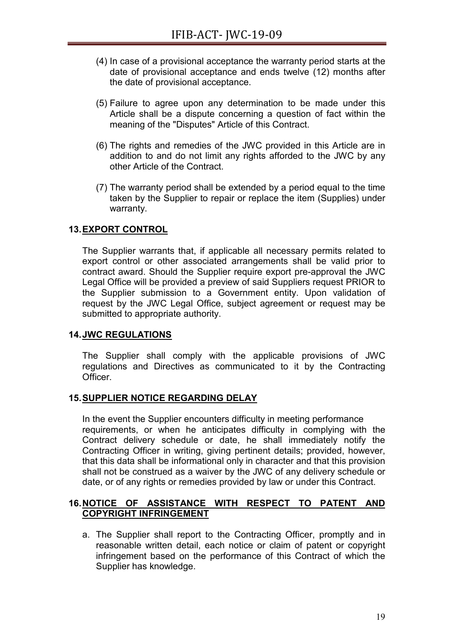- (4) In case of a provisional acceptance the warranty period starts at the date of provisional acceptance and ends twelve (12) months after the date of provisional acceptance.
- (5) Failure to agree upon any determination to be made under this Article shall be a dispute concerning a question of fact within the meaning of the "Disputes" Article of this Contract.
- (6) The rights and remedies of the JWC provided in this Article are in addition to and do not limit any rights afforded to the JWC by any other Article of the Contract.
- (7) The warranty period shall be extended by a period equal to the time taken by the Supplier to repair or replace the item (Supplies) under warranty.

## **13.EXPORT CONTROL**

The Supplier warrants that, if applicable all necessary permits related to export control or other associated arrangements shall be valid prior to contract award. Should the Supplier require export pre-approval the JWC Legal Office will be provided a preview of said Suppliers request PRIOR to the Supplier submission to a Government entity. Upon validation of request by the JWC Legal Office, subject agreement or request may be submitted to appropriate authority.

## **14.JWC REGULATIONS**

The Supplier shall comply with the applicable provisions of JWC regulations and Directives as communicated to it by the Contracting Officer.

## **15.SUPPLIER NOTICE REGARDING DELAY**

In the event the Supplier encounters difficulty in meeting performance requirements, or when he anticipates difficulty in complying with the Contract delivery schedule or date, he shall immediately notify the Contracting Officer in writing, giving pertinent details; provided, however, that this data shall be informational only in character and that this provision shall not be construed as a waiver by the JWC of any delivery schedule or date, or of any rights or remedies provided by law or under this Contract.

## **16.NOTICE OF ASSISTANCE WITH RESPECT TO PATENT AND COPYRIGHT INFRINGEMENT**

a. The Supplier shall report to the Contracting Officer, promptly and in reasonable written detail, each notice or claim of patent or copyright infringement based on the performance of this Contract of which the Supplier has knowledge.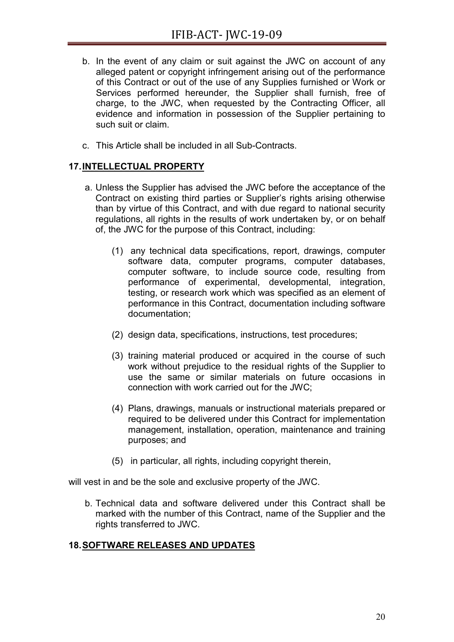- b. In the event of any claim or suit against the JWC on account of any alleged patent or copyright infringement arising out of the performance of this Contract or out of the use of any Supplies furnished or Work or Services performed hereunder, the Supplier shall furnish, free of charge, to the JWC, when requested by the Contracting Officer, all evidence and information in possession of the Supplier pertaining to such suit or claim.
- c. This Article shall be included in all Sub-Contracts.

# **17.INTELLECTUAL PROPERTY**

- a. Unless the Supplier has advised the JWC before the acceptance of the Contract on existing third parties or Supplier's rights arising otherwise than by virtue of this Contract, and with due regard to national security regulations, all rights in the results of work undertaken by, or on behalf of, the JWC for the purpose of this Contract, including:
	- (1) any technical data specifications, report, drawings, computer software data, computer programs, computer databases, computer software, to include source code, resulting from performance of experimental, developmental, integration, testing, or research work which was specified as an element of performance in this Contract, documentation including software documentation;
	- (2) design data, specifications, instructions, test procedures;
	- (3) training material produced or acquired in the course of such work without prejudice to the residual rights of the Supplier to use the same or similar materials on future occasions in connection with work carried out for the JWC;
	- (4) Plans, drawings, manuals or instructional materials prepared or required to be delivered under this Contract for implementation management, installation, operation, maintenance and training purposes; and
	- (5) in particular, all rights, including copyright therein,

will vest in and be the sole and exclusive property of the JWC.

b. Technical data and software delivered under this Contract shall be marked with the number of this Contract, name of the Supplier and the rights transferred to JWC.

# **18.SOFTWARE RELEASES AND UPDATES**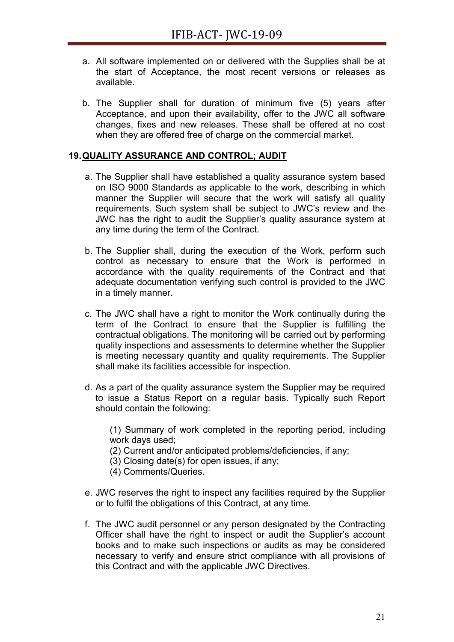- a. All software implemented on or delivered with the Supplies shall be at the start of Acceptance, the most recent versions or releases as available.
- b. The Supplier shall for duration of minimum five (5) years after Acceptance, and upon their availability, offer to the JWC all software changes, fixes and new releases. These shall be offered at no cost when they are offered free of charge on the commercial market.

## **19.QUALITY ASSURANCE AND CONTROL; AUDIT**

- a. The Supplier shall have established a quality assurance system based on ISO 9000 Standards as applicable to the work, describing in which manner the Supplier will secure that the work will satisfy all quality requirements. Such system shall be subject to JWC's review and the JWC has the right to audit the Supplier's quality assurance system at any time during the term of the Contract.
- b. The Supplier shall, during the execution of the Work, perform such control as necessary to ensure that the Work is performed in accordance with the quality requirements of the Contract and that adequate documentation verifying such control is provided to the JWC in a timely manner.
- c. The JWC shall have a right to monitor the Work continually during the term of the Contract to ensure that the Supplier is fulfilling the contractual obligations. The monitoring will be carried out by performing quality inspections and assessments to determine whether the Supplier is meeting necessary quantity and quality requirements. The Supplier shall make its facilities accessible for inspection.
- d. As a part of the quality assurance system the Supplier may be required to issue a Status Report on a regular basis. Typically such Report should contain the following:

(1) Summary of work completed in the reporting period, including work days used;

- (2) Current and/or anticipated problems/deficiencies, if any;
- (3) Closing date(s) for open issues, if any;
- (4) Comments/Queries.
- e. JWC reserves the right to inspect any facilities required by the Supplier or to fulfil the obligations of this Contract, at any time.
- f. The JWC audit personnel or any person designated by the Contracting Officer shall have the right to inspect or audit the Supplier's account books and to make such inspections or audits as may be considered necessary to verify and ensure strict compliance with all provisions of this Contract and with the applicable JWC Directives.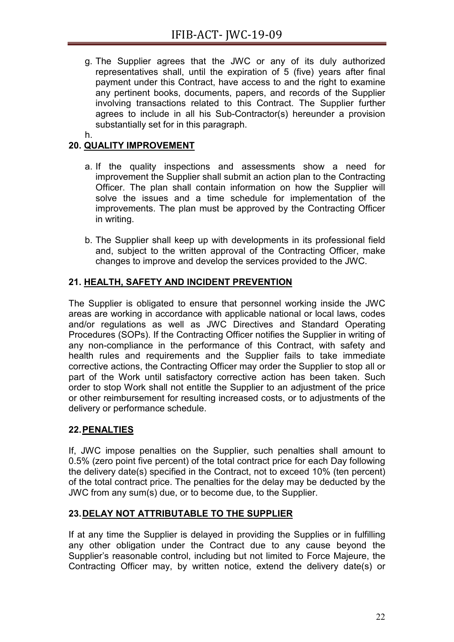- g. The Supplier agrees that the JWC or any of its duly authorized representatives shall, until the expiration of 5 (five) years after final payment under this Contract, have access to and the right to examine any pertinent books, documents, papers, and records of the Supplier involving transactions related to this Contract. The Supplier further agrees to include in all his Sub-Contractor(s) hereunder a provision substantially set for in this paragraph.
- h.

# **20. QUALITY IMPROVEMENT**

- a. If the quality inspections and assessments show a need for improvement the Supplier shall submit an action plan to the Contracting Officer. The plan shall contain information on how the Supplier will solve the issues and a time schedule for implementation of the improvements. The plan must be approved by the Contracting Officer in writing.
- b. The Supplier shall keep up with developments in its professional field and, subject to the written approval of the Contracting Officer, make changes to improve and develop the services provided to the JWC.

# **21. HEALTH, SAFETY AND INCIDENT PREVENTION**

The Supplier is obligated to ensure that personnel working inside the JWC areas are working in accordance with applicable national or local laws, codes and/or regulations as well as JWC Directives and Standard Operating Procedures (SOPs). If the Contracting Officer notifies the Supplier in writing of any non-compliance in the performance of this Contract, with safety and health rules and requirements and the Supplier fails to take immediate corrective actions, the Contracting Officer may order the Supplier to stop all or part of the Work until satisfactory corrective action has been taken. Such order to stop Work shall not entitle the Supplier to an adjustment of the price or other reimbursement for resulting increased costs, or to adjustments of the delivery or performance schedule.

# <span id="page-22-0"></span>**22.PENALTIES**

If, JWC impose penalties on the Supplier, such penalties shall amount to 0.5% (zero point five percent) of the total contract price for each Day following the delivery date(s) specified in the Contract, not to exceed 10% (ten percent) of the total contract price. The penalties for the delay may be deducted by the JWC from any sum(s) due, or to become due, to the Supplier.

# **23.DELAY NOT ATTRIBUTABLE TO THE SUPPLIER**

If at any time the Supplier is delayed in providing the Supplies or in fulfilling any other obligation under the Contract due to any cause beyond the Supplier's reasonable control, including but not limited to Force Majeure, the Contracting Officer may, by written notice, extend the delivery date(s) or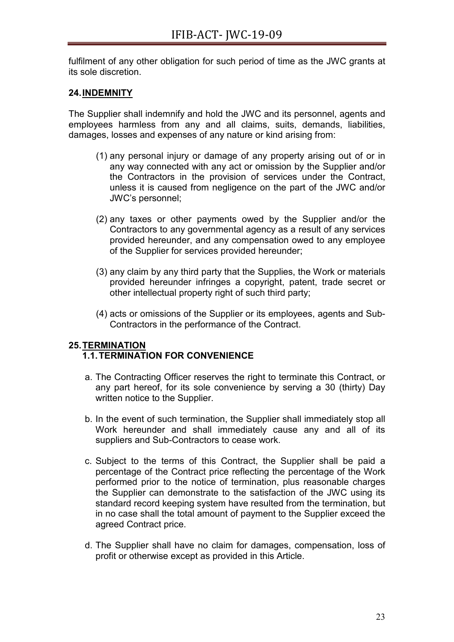fulfilment of any other obligation for such period of time as the JWC grants at its sole discretion.

# **24.INDEMNITY**

The Supplier shall indemnify and hold the JWC and its personnel, agents and employees harmless from any and all claims, suits, demands, liabilities, damages, losses and expenses of any nature or kind arising from:

- (1) any personal injury or damage of any property arising out of or in any way connected with any act or omission by the Supplier and/or the Contractors in the provision of services under the Contract, unless it is caused from negligence on the part of the JWC and/or JWC's personnel;
- (2) any taxes or other payments owed by the Supplier and/or the Contractors to any governmental agency as a result of any services provided hereunder, and any compensation owed to any employee of the Supplier for services provided hereunder;
- (3) any claim by any third party that the Supplies, the Work or materials provided hereunder infringes a copyright, patent, trade secret or other intellectual property right of such third party;
- (4) acts or omissions of the Supplier or its employees, agents and Sub-Contractors in the performance of the Contract.

# **25.TERMINATION**

# **1.1.TERMINATION FOR CONVENIENCE**

- a. The Contracting Officer reserves the right to terminate this Contract, or any part hereof, for its sole convenience by serving a 30 (thirty) Day written notice to the Supplier.
- b. In the event of such termination, the Supplier shall immediately stop all Work hereunder and shall immediately cause any and all of its suppliers and Sub-Contractors to cease work.
- c. Subject to the terms of this Contract, the Supplier shall be paid a percentage of the Contract price reflecting the percentage of the Work performed prior to the notice of termination, plus reasonable charges the Supplier can demonstrate to the satisfaction of the JWC using its standard record keeping system have resulted from the termination, but in no case shall the total amount of payment to the Supplier exceed the agreed Contract price.
- d. The Supplier shall have no claim for damages, compensation, loss of profit or otherwise except as provided in this Article.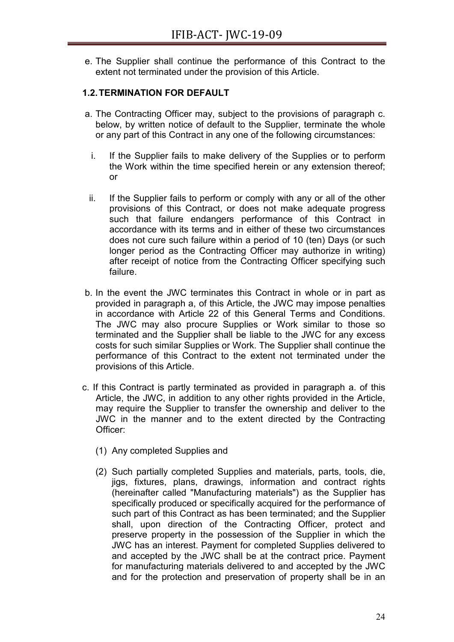e. The Supplier shall continue the performance of this Contract to the extent not terminated under the provision of this Article.

# **1.2.TERMINATION FOR DEFAULT**

- a. The Contracting Officer may, subject to the provisions of paragraph c. below, by written notice of default to the Supplier, terminate the whole or any part of this Contract in any one of the following circumstances:
	- i. If the Supplier fails to make delivery of the Supplies or to perform the Work within the time specified herein or any extension thereof; or
- ii. If the Supplier fails to perform or comply with any or all of the other provisions of this Contract, or does not make adequate progress such that failure endangers performance of this Contract in accordance with its terms and in either of these two circumstances does not cure such failure within a period of 10 (ten) Days (or such longer period as the Contracting Officer may authorize in writing) after receipt of notice from the Contracting Officer specifying such failure.
- b. In the event the JWC terminates this Contract in whole or in part as provided in paragraph a, of this Article, the JWC may impose penalties in accordance with Article [22](#page-22-0) of this General Terms and Conditions. The JWC may also procure Supplies or Work similar to those so terminated and the Supplier shall be liable to the JWC for any excess costs for such similar Supplies or Work. The Supplier shall continue the performance of this Contract to the extent not terminated under the provisions of this Article.
- c. If this Contract is partly terminated as provided in paragraph a. of this Article, the JWC, in addition to any other rights provided in the Article, may require the Supplier to transfer the ownership and deliver to the JWC in the manner and to the extent directed by the Contracting Officer:
	- (1) Any completed Supplies and
	- (2) Such partially completed Supplies and materials, parts, tools, die, jigs, fixtures, plans, drawings, information and contract rights (hereinafter called "Manufacturing materials") as the Supplier has specifically produced or specifically acquired for the performance of such part of this Contract as has been terminated; and the Supplier shall, upon direction of the Contracting Officer, protect and preserve property in the possession of the Supplier in which the JWC has an interest. Payment for completed Supplies delivered to and accepted by the JWC shall be at the contract price. Payment for manufacturing materials delivered to and accepted by the JWC and for the protection and preservation of property shall be in an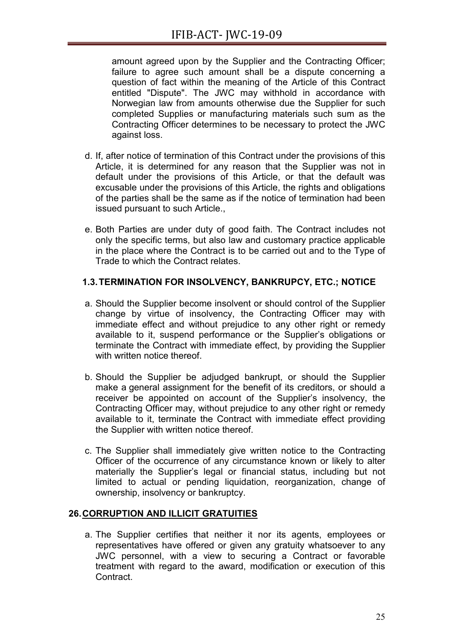amount agreed upon by the Supplier and the Contracting Officer; failure to agree such amount shall be a dispute concerning a question of fact within the meaning of the Article of this Contract entitled "Dispute". The JWC may withhold in accordance with Norwegian law from amounts otherwise due the Supplier for such completed Supplies or manufacturing materials such sum as the Contracting Officer determines to be necessary to protect the JWC against loss.

- d. If, after notice of termination of this Contract under the provisions of this Article, it is determined for any reason that the Supplier was not in default under the provisions of this Article, or that the default was excusable under the provisions of this Article, the rights and obligations of the parties shall be the same as if the notice of termination had been issued pursuant to such Article.,
- e. Both Parties are under duty of good faith. The Contract includes not only the specific terms, but also law and customary practice applicable in the place where the Contract is to be carried out and to the Type of Trade to which the Contract relates.

# **1.3.TERMINATION FOR INSOLVENCY, BANKRUPCY, ETC.; NOTICE**

- a. Should the Supplier become insolvent or should control of the Supplier change by virtue of insolvency, the Contracting Officer may with immediate effect and without prejudice to any other right or remedy available to it, suspend performance or the Supplier's obligations or terminate the Contract with immediate effect, by providing the Supplier with written notice thereof
- b. Should the Supplier be adjudged bankrupt, or should the Supplier make a general assignment for the benefit of its creditors, or should a receiver be appointed on account of the Supplier's insolvency, the Contracting Officer may, without prejudice to any other right or remedy available to it, terminate the Contract with immediate effect providing the Supplier with written notice thereof.
- c. The Supplier shall immediately give written notice to the Contracting Officer of the occurrence of any circumstance known or likely to alter materially the Supplier's legal or financial status, including but not limited to actual or pending liquidation, reorganization, change of ownership, insolvency or bankruptcy.

# **26.CORRUPTION AND ILLICIT GRATUITIES**

a. The Supplier certifies that neither it nor its agents, employees or representatives have offered or given any gratuity whatsoever to any JWC personnel, with a view to securing a Contract or favorable treatment with regard to the award, modification or execution of this Contract.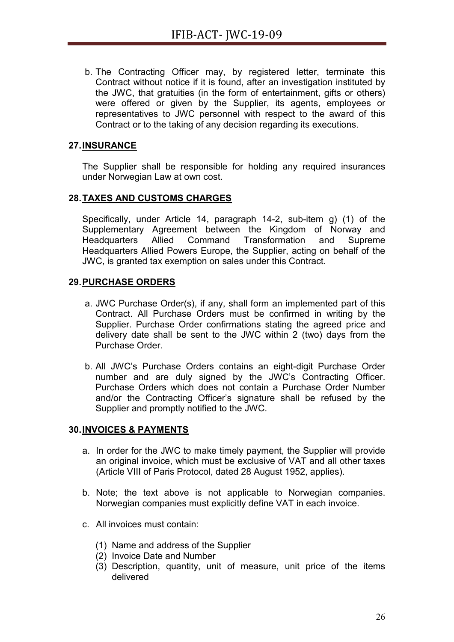b. The Contracting Officer may, by registered letter, terminate this Contract without notice if it is found, after an investigation instituted by the JWC, that gratuities (in the form of entertainment, gifts or others) were offered or given by the Supplier, its agents, employees or representatives to JWC personnel with respect to the award of this Contract or to the taking of any decision regarding its executions.

# **27.INSURANCE**

The Supplier shall be responsible for holding any required insurances under Norwegian Law at own cost.

# **28.TAXES AND CUSTOMS CHARGES**

Specifically, under Article 14, paragraph 14-2, sub-item g) (1) of the Supplementary Agreement between the Kingdom of Norway and Headquarters Allied Command Transformation and Supreme Headquarters Allied Powers Europe, the Supplier, acting on behalf of the JWC, is granted tax exemption on sales under this Contract.

## **29.PURCHASE ORDERS**

- a. JWC Purchase Order(s), if any, shall form an implemented part of this Contract. All Purchase Orders must be confirmed in writing by the Supplier. Purchase Order confirmations stating the agreed price and delivery date shall be sent to the JWC within 2 (two) days from the Purchase Order.
- b. All JWC's Purchase Orders contains an eight-digit Purchase Order number and are duly signed by the JWC's Contracting Officer. Purchase Orders which does not contain a Purchase Order Number and/or the Contracting Officer's signature shall be refused by the Supplier and promptly notified to the JWC.

# **30.INVOICES & PAYMENTS**

- a. In order for the JWC to make timely payment, the Supplier will provide an original invoice, which must be exclusive of VAT and all other taxes (Article VIII of Paris Protocol, dated 28 August 1952, applies).
- b. Note; the text above is not applicable to Norwegian companies. Norwegian companies must explicitly define VAT in each invoice.
- c. All invoices must contain:
	- (1) Name and address of the Supplier
	- (2) Invoice Date and Number
	- (3) Description, quantity, unit of measure, unit price of the items delivered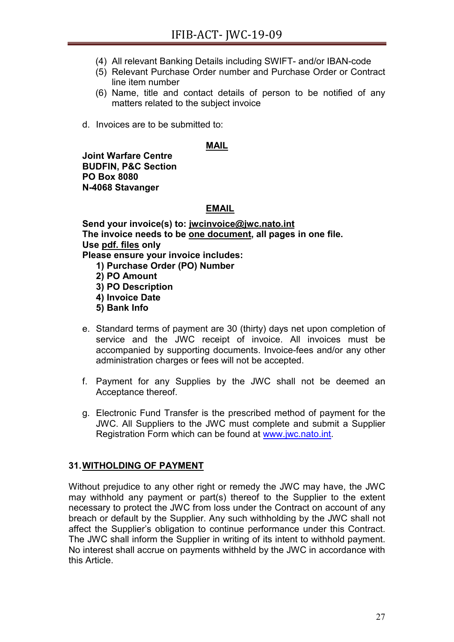- (4) All relevant Banking Details including SWIFT- and/or IBAN-code
- (5) Relevant Purchase Order number and Purchase Order or Contract line item number
- (6) Name, title and contact details of person to be notified of any matters related to the subject invoice
- d. Invoices are to be submitted to:

#### **MAIL**

**Joint Warfare Centre BUDFIN, P&C Section PO Box 8080 N-4068 Stavanger**

#### **EMAIL**

**Send your invoice(s) to: jw[cinvoice@jwc.nato.int](mailto:invoice@jwc.nato.int) The invoice needs to be one document, all pages in one file. Use pdf. files only Please ensure your invoice includes: 1) Purchase Order (PO) Number 2) PO Amount 3) PO Description 4) Invoice Date** 

- **5) Bank Info**
- e. Standard terms of payment are 30 (thirty) days net upon completion of service and the JWC receipt of invoice. All invoices must be accompanied by supporting documents. Invoice-fees and/or any other administration charges or fees will not be accepted.
- f. Payment for any Supplies by the JWC shall not be deemed an Acceptance thereof.
- g. Electronic Fund Transfer is the prescribed method of payment for the JWC. All Suppliers to the JWC must complete and submit a Supplier Registration Form which can be found at [www.jwc.nato.int.](http://www.jwc.nato.int/)

## **31.WITHOLDING OF PAYMENT**

Without prejudice to any other right or remedy the JWC may have, the JWC may withhold any payment or part(s) thereof to the Supplier to the extent necessary to protect the JWC from loss under the Contract on account of any breach or default by the Supplier. Any such withholding by the JWC shall not affect the Supplier's obligation to continue performance under this Contract. The JWC shall inform the Supplier in writing of its intent to withhold payment. No interest shall accrue on payments withheld by the JWC in accordance with this Article.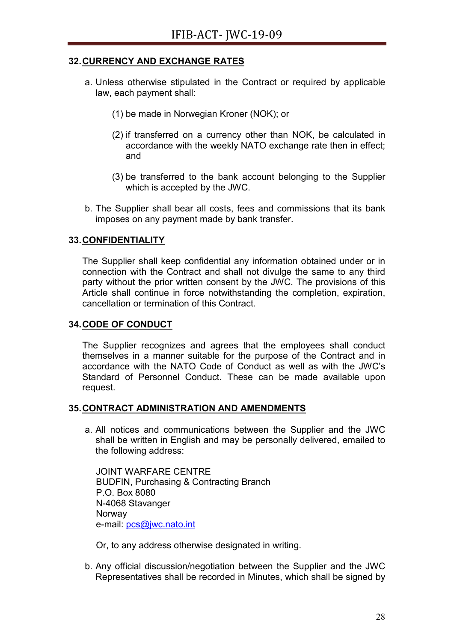## **32.CURRENCY AND EXCHANGE RATES**

- a. Unless otherwise stipulated in the Contract or required by applicable law, each payment shall:
	- (1) be made in Norwegian Kroner (NOK); or
	- (2) if transferred on a currency other than NOK, be calculated in accordance with the weekly NATO exchange rate then in effect; and
	- (3) be transferred to the bank account belonging to the Supplier which is accepted by the JWC.
- b. The Supplier shall bear all costs, fees and commissions that its bank imposes on any payment made by bank transfer.

## **33.CONFIDENTIALITY**

The Supplier shall keep confidential any information obtained under or in connection with the Contract and shall not divulge the same to any third party without the prior written consent by the JWC. The provisions of this Article shall continue in force notwithstanding the completion, expiration, cancellation or termination of this Contract.

## **34.CODE OF CONDUCT**

The Supplier recognizes and agrees that the employees shall conduct themselves in a manner suitable for the purpose of the Contract and in accordance with the NATO Code of Conduct as well as with the JWC's Standard of Personnel Conduct. These can be made available upon request.

## **35.CONTRACT ADMINISTRATION AND AMENDMENTS**

a. All notices and communications between the Supplier and the JWC shall be written in English and may be personally delivered, emailed to the following address:

JOINT WARFARE CENTRE BUDFIN, Purchasing & Contracting Branch P.O. Box 8080 N-4068 Stavanger Norway e-mail: [pcs@jwc.nato.int](mailto:pcs@jwc.nato.int)

Or, to any address otherwise designated in writing.

b. Any official discussion/negotiation between the Supplier and the JWC Representatives shall be recorded in Minutes, which shall be signed by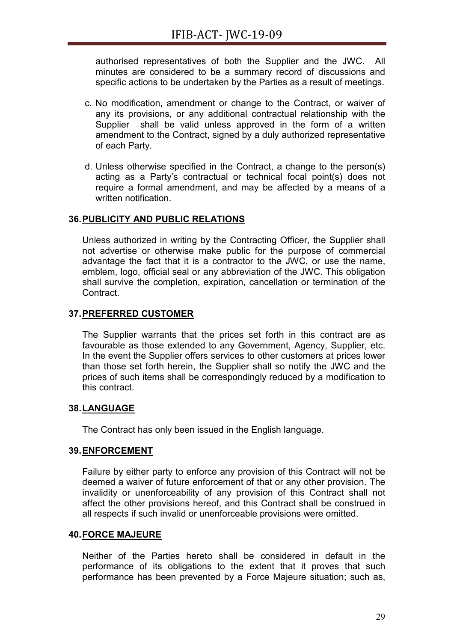authorised representatives of both the Supplier and the JWC. All minutes are considered to be a summary record of discussions and specific actions to be undertaken by the Parties as a result of meetings.

- c. No modification, amendment or change to the Contract, or waiver of any its provisions, or any additional contractual relationship with the Supplier shall be valid unless approved in the form of a written amendment to the Contract, signed by a duly authorized representative of each Party.
- d. Unless otherwise specified in the Contract, a change to the person(s) acting as a Party's contractual or technical focal point(s) does not require a formal amendment, and may be affected by a means of a written notification.

## **36.PUBLICITY AND PUBLIC RELATIONS**

Unless authorized in writing by the Contracting Officer, the Supplier shall not advertise or otherwise make public for the purpose of commercial advantage the fact that it is a contractor to the JWC, or use the name, emblem, logo, official seal or any abbreviation of the JWC. This obligation shall survive the completion, expiration, cancellation or termination of the Contract.

## **37.PREFERRED CUSTOMER**

The Supplier warrants that the prices set forth in this contract are as favourable as those extended to any Government, Agency, Supplier, etc. In the event the Supplier offers services to other customers at prices lower than those set forth herein, the Supplier shall so notify the JWC and the prices of such items shall be correspondingly reduced by a modification to this contract.

## **38.LANGUAGE**

The Contract has only been issued in the English language.

## **39.ENFORCEMENT**

Failure by either party to enforce any provision of this Contract will not be deemed a waiver of future enforcement of that or any other provision. The invalidity or unenforceability of any provision of this Contract shall not affect the other provisions hereof, and this Contract shall be construed in all respects if such invalid or unenforceable provisions were omitted.

## **40.FORCE MAJEURE**

Neither of the Parties hereto shall be considered in default in the performance of its obligations to the extent that it proves that such performance has been prevented by a Force Majeure situation; such as,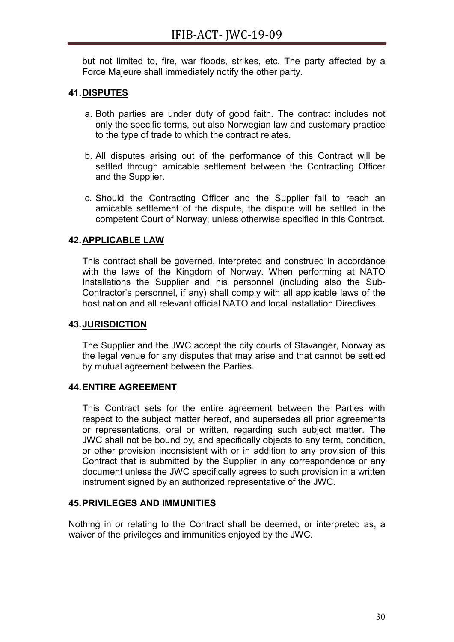but not limited to, fire, war floods, strikes, etc. The party affected by a Force Majeure shall immediately notify the other party.

# **41.DISPUTES**

- a. Both parties are under duty of good faith. The contract includes not only the specific terms, but also Norwegian law and customary practice to the type of trade to which the contract relates.
- b. All disputes arising out of the performance of this Contract will be settled through amicable settlement between the Contracting Officer and the Supplier.
- c. Should the Contracting Officer and the Supplier fail to reach an amicable settlement of the dispute, the dispute will be settled in the competent Court of Norway, unless otherwise specified in this Contract.

# **42.APPLICABLE LAW**

This contract shall be governed, interpreted and construed in accordance with the laws of the Kingdom of Norway. When performing at NATO Installations the Supplier and his personnel (including also the Sub-Contractor's personnel, if any) shall comply with all applicable laws of the host nation and all relevant official NATO and local installation Directives.

# **43.JURISDICTION**

The Supplier and the JWC accept the city courts of Stavanger, Norway as the legal venue for any disputes that may arise and that cannot be settled by mutual agreement between the Parties.

# **44.ENTIRE AGREEMENT**

This Contract sets for the entire agreement between the Parties with respect to the subject matter hereof, and supersedes all prior agreements or representations, oral or written, regarding such subject matter. The JWC shall not be bound by, and specifically objects to any term, condition, or other provision inconsistent with or in addition to any provision of this Contract that is submitted by the Supplier in any correspondence or any document unless the JWC specifically agrees to such provision in a written instrument signed by an authorized representative of the JWC.

## **45.PRIVILEGES AND IMMUNITIES**

Nothing in or relating to the Contract shall be deemed, or interpreted as, a waiver of the privileges and immunities enjoyed by the JWC.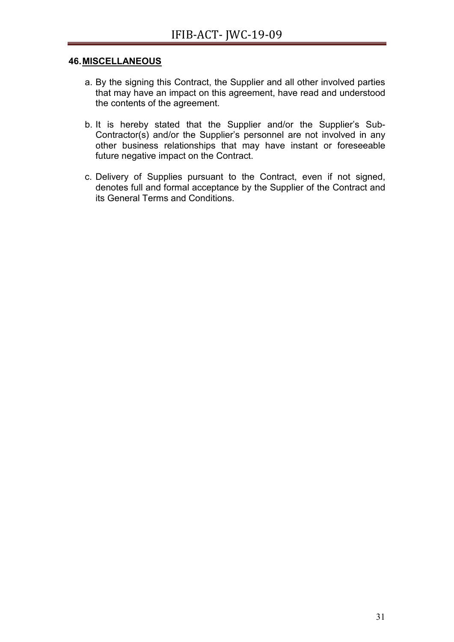#### **46.MISCELLANEOUS**

- a. By the signing this Contract, the Supplier and all other involved parties that may have an impact on this agreement, have read and understood the contents of the agreement.
- b. It is hereby stated that the Supplier and/or the Supplier's Sub-Contractor(s) and/or the Supplier's personnel are not involved in any other business relationships that may have instant or foreseeable future negative impact on the Contract.
- c. Delivery of Supplies pursuant to the Contract, even if not signed, denotes full and formal acceptance by the Supplier of the Contract and its General Terms and Conditions.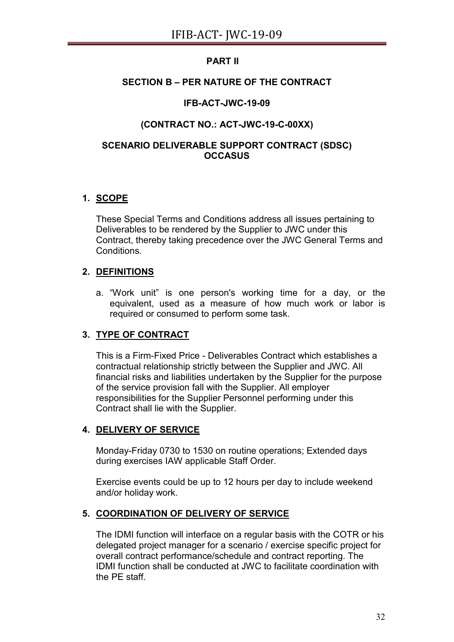# **PART II**

# **SECTION B – PER NATURE OF THE CONTRACT**

# **IFB-ACT-JWC-19-09**

# **(CONTRACT NO.: ACT-JWC-19-C-00XX)**

# **SCENARIO DELIVERABLE SUPPORT CONTRACT (SDSC) OCCASUS**

# **1. SCOPE**

These Special Terms and Conditions address all issues pertaining to Deliverables to be rendered by the Supplier to JWC under this Contract, thereby taking precedence over the JWC General Terms and **Conditions** 

# **2. DEFINITIONS**

a. "Work unit" is one person's working time for a day, or the equivalent, used as a measure of how much work or labor is required or consumed to perform some task.

# **3. TYPE OF CONTRACT**

This is a Firm-Fixed Price - Deliverables Contract which establishes a contractual relationship strictly between the Supplier and JWC. All financial risks and liabilities undertaken by the Supplier for the purpose of the service provision fall with the Supplier. All employer responsibilities for the Supplier Personnel performing under this Contract shall lie with the Supplier.

# **4. DELIVERY OF SERVICE**

Monday-Friday 0730 to 1530 on routine operations; Extended days during exercises IAW applicable Staff Order.

Exercise events could be up to 12 hours per day to include weekend and/or holiday work.

# **5. COORDINATION OF DELIVERY OF SERVICE**

The IDMI function will interface on a regular basis with the COTR or his delegated project manager for a scenario / exercise specific project for overall contract performance/schedule and contract reporting. The IDMI function shall be conducted at JWC to facilitate coordination with the PE staff.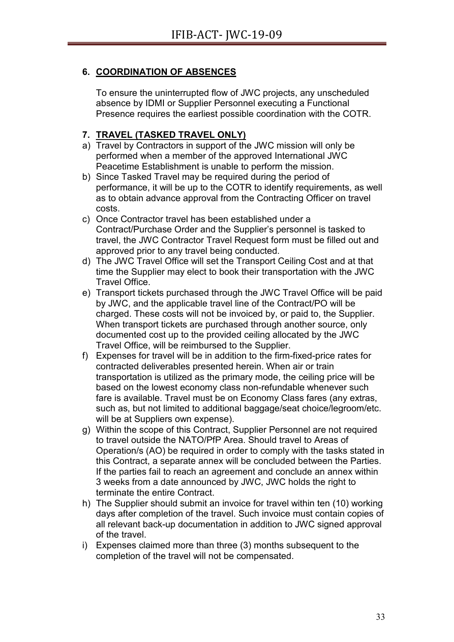# **6. COORDINATION OF ABSENCES**

To ensure the uninterrupted flow of JWC projects, any unscheduled absence by IDMI or Supplier Personnel executing a Functional Presence requires the earliest possible coordination with the COTR.

# **7. TRAVEL (TASKED TRAVEL ONLY)**

- a) Travel by Contractors in support of the JWC mission will only be performed when a member of the approved International JWC Peacetime Establishment is unable to perform the mission.
- b) Since Tasked Travel may be required during the period of performance, it will be up to the COTR to identify requirements, as well as to obtain advance approval from the Contracting Officer on travel costs.
- c) Once Contractor travel has been established under a Contract/Purchase Order and the Supplier's personnel is tasked to travel, the JWC Contractor Travel Request form must be filled out and approved prior to any travel being conducted.
- d) The JWC Travel Office will set the Transport Ceiling Cost and at that time the Supplier may elect to book their transportation with the JWC Travel Office.
- e) Transport tickets purchased through the JWC Travel Office will be paid by JWC, and the applicable travel line of the Contract/PO will be charged. These costs will not be invoiced by, or paid to, the Supplier. When transport tickets are purchased through another source, only documented cost up to the provided ceiling allocated by the JWC Travel Office, will be reimbursed to the Supplier.
- f) Expenses for travel will be in addition to the firm-fixed-price rates for contracted deliverables presented herein. When air or train transportation is utilized as the primary mode, the ceiling price will be based on the lowest economy class non-refundable whenever such fare is available. Travel must be on Economy Class fares (any extras, such as, but not limited to additional baggage/seat choice/legroom/etc. will be at Suppliers own expense).
- g) Within the scope of this Contract, Supplier Personnel are not required to travel outside the NATO/PfP Area. Should travel to Areas of Operation/s (AO) be required in order to comply with the tasks stated in this Contract, a separate annex will be concluded between the Parties. If the parties fail to reach an agreement and conclude an annex within 3 weeks from a date announced by JWC, JWC holds the right to terminate the entire Contract.
- h) The Supplier should submit an invoice for travel within ten (10) working days after completion of the travel. Such invoice must contain copies of all relevant back-up documentation in addition to JWC signed approval of the travel.
- i) Expenses claimed more than three (3) months subsequent to the completion of the travel will not be compensated.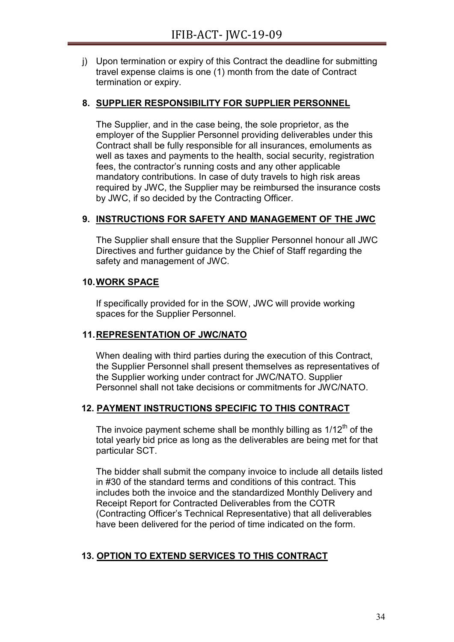j) Upon termination or expiry of this Contract the deadline for submitting travel expense claims is one (1) month from the date of Contract termination or expiry.

## **8. SUPPLIER RESPONSIBILITY FOR SUPPLIER PERSONNEL**

The Supplier, and in the case being, the sole proprietor, as the employer of the Supplier Personnel providing deliverables under this Contract shall be fully responsible for all insurances, emoluments as well as taxes and payments to the health, social security, registration fees, the contractor's running costs and any other applicable mandatory contributions. In case of duty travels to high risk areas required by JWC, the Supplier may be reimbursed the insurance costs by JWC, if so decided by the Contracting Officer.

## **9. INSTRUCTIONS FOR SAFETY AND MANAGEMENT OF THE JWC**

The Supplier shall ensure that the Supplier Personnel honour all JWC Directives and further guidance by the Chief of Staff regarding the safety and management of JWC.

## **10.WORK SPACE**

If specifically provided for in the SOW, JWC will provide working spaces for the Supplier Personnel.

## **11.REPRESENTATION OF JWC/NATO**

When dealing with third parties during the execution of this Contract, the Supplier Personnel shall present themselves as representatives of the Supplier working under contract for JWC/NATO. Supplier Personnel shall not take decisions or commitments for JWC/NATO.

# **12. PAYMENT INSTRUCTIONS SPECIFIC TO THIS CONTRACT**

The invoice payment scheme shall be monthly billing as  $1/12<sup>th</sup>$  of the total yearly bid price as long as the deliverables are being met for that particular SCT.

The bidder shall submit the company invoice to include all details listed in #30 of the standard terms and conditions of this contract. This includes both the invoice and the standardized Monthly Delivery and Receipt Report for Contracted Deliverables from the COTR (Contracting Officer's Technical Representative) that all deliverables have been delivered for the period of time indicated on the form.

# **13. OPTION TO EXTEND SERVICES TO THIS CONTRACT**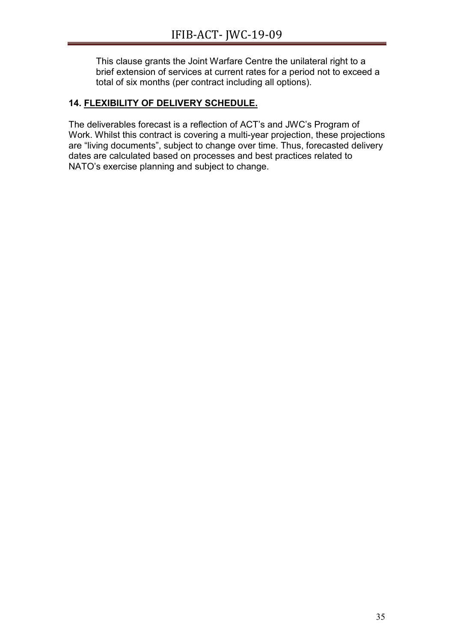This clause grants the Joint Warfare Centre the unilateral right to a brief extension of services at current rates for a period not to exceed a total of six months (per contract including all options).

# **14. FLEXIBILITY OF DELIVERY SCHEDULE.**

The deliverables forecast is a reflection of ACT's and JWC's Program of Work. Whilst this contract is covering a multi-year projection, these projections are "living documents", subject to change over time. Thus, forecasted delivery dates are calculated based on processes and best practices related to NATO's exercise planning and subject to change.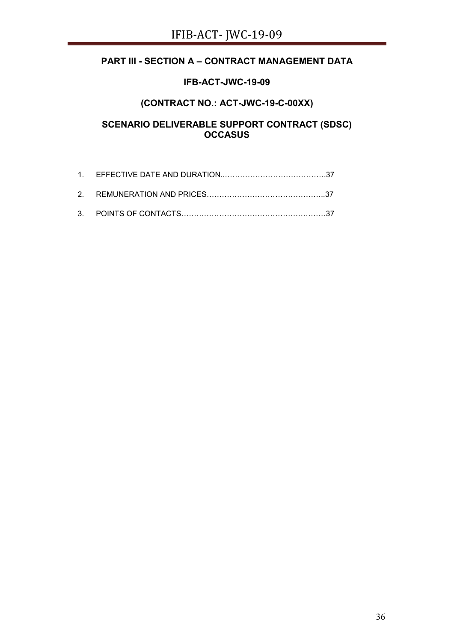# **PART III - SECTION A – CONTRACT MANAGEMENT DATA**

## **IFB-ACT-JWC-19-09**

# **(CONTRACT NO.: ACT-JWC-19-C-00XX)**

# **SCENARIO DELIVERABLE SUPPORT CONTRACT (SDSC) OCCASUS**